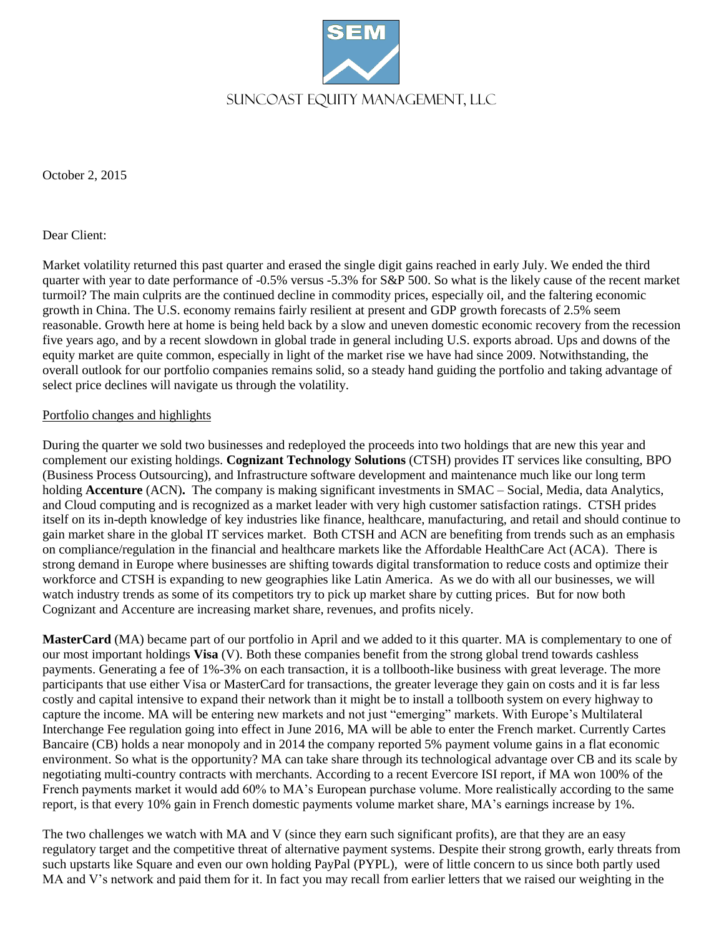

October 2, 2015

Dear Client:

Market volatility returned this past quarter and erased the single digit gains reached in early July. We ended the third quarter with year to date performance of -0.5% versus -5.3% for S&P 500. So what is the likely cause of the recent market turmoil? The main culprits are the continued decline in commodity prices, especially oil, and the faltering economic growth in China. The U.S. economy remains fairly resilient at present and GDP growth forecasts of 2.5% seem reasonable. Growth here at home is being held back by a slow and uneven domestic economic recovery from the recession five years ago, and by a recent slowdown in global trade in general including U.S. exports abroad. Ups and downs of the equity market are quite common, especially in light of the market rise we have had since 2009. Notwithstanding, the overall outlook for our portfolio companies remains solid, so a steady hand guiding the portfolio and taking advantage of select price declines will navigate us through the volatility.

## Portfolio changes and highlights

During the quarter we sold two businesses and redeployed the proceeds into two holdings that are new this year and complement our existing holdings. **Cognizant Technology Solutions** (CTSH) provides IT services like consulting, BPO (Business Process Outsourcing), and Infrastructure software development and maintenance much like our long term holding **Accenture** (ACN). The company is making significant investments in SMAC – Social, Media, data Analytics, and Cloud computing and is recognized as a market leader with very high customer satisfaction ratings. CTSH prides itself on its in-depth knowledge of key industries like finance, healthcare, manufacturing, and retail and should continue to gain market share in the global IT services market. Both CTSH and ACN are benefiting from trends such as an emphasis on compliance/regulation in the financial and healthcare markets like the Affordable HealthCare Act (ACA). There is strong demand in Europe where businesses are shifting towards digital transformation to reduce costs and optimize their workforce and CTSH is expanding to new geographies like Latin America. As we do with all our businesses, we will watch industry trends as some of its competitors try to pick up market share by cutting prices. But for now both Cognizant and Accenture are increasing market share, revenues, and profits nicely.

**MasterCard** (MA) became part of our portfolio in April and we added to it this quarter. MA is complementary to one of our most important holdings **Visa** (V). Both these companies benefit from the strong global trend towards cashless payments. Generating a fee of 1%-3% on each transaction, it is a tollbooth-like business with great leverage. The more participants that use either Visa or MasterCard for transactions, the greater leverage they gain on costs and it is far less costly and capital intensive to expand their network than it might be to install a tollbooth system on every highway to capture the income. MA will be entering new markets and not just "emerging" markets. With Europe's Multilateral Interchange Fee regulation going into effect in June 2016, MA will be able to enter the French market. Currently Cartes Bancaire (CB) holds a near monopoly and in 2014 the company reported 5% payment volume gains in a flat economic environment. So what is the opportunity? MA can take share through its technological advantage over CB and its scale by negotiating multi-country contracts with merchants. According to a recent Evercore ISI report, if MA won 100% of the French payments market it would add 60% to MA's European purchase volume. More realistically according to the same report, is that every 10% gain in French domestic payments volume market share, MA's earnings increase by 1%.

The two challenges we watch with MA and V (since they earn such significant profits), are that they are an easy regulatory target and the competitive threat of alternative payment systems. Despite their strong growth, early threats from such upstarts like Square and even our own holding PayPal (PYPL), were of little concern to us since both partly used MA and V's network and paid them for it. In fact you may recall from earlier letters that we raised our weighting in the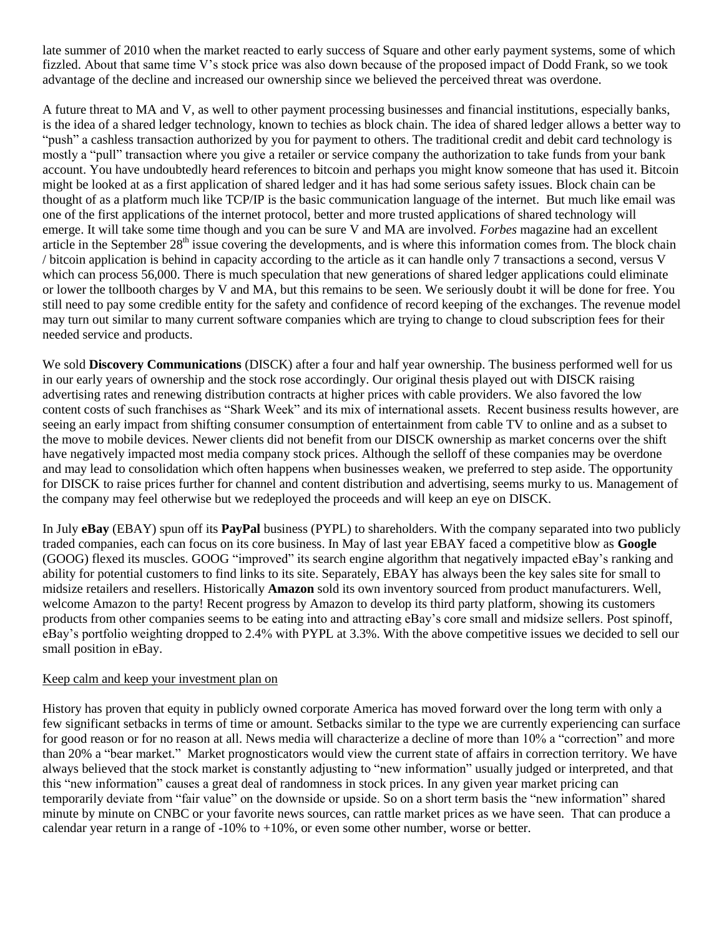late summer of 2010 when the market reacted to early success of Square and other early payment systems, some of which fizzled. About that same time V's stock price was also down because of the proposed impact of Dodd Frank, so we took advantage of the decline and increased our ownership since we believed the perceived threat was overdone.

A future threat to MA and V, as well to other payment processing businesses and financial institutions, especially banks, is the idea of a shared ledger technology, known to techies as block chain. The idea of shared ledger allows a better way to "push" a cashless transaction authorized by you for payment to others. The traditional credit and debit card technology is mostly a "pull" transaction where you give a retailer or service company the authorization to take funds from your bank account. You have undoubtedly heard references to bitcoin and perhaps you might know someone that has used it. Bitcoin might be looked at as a first application of shared ledger and it has had some serious safety issues. Block chain can be thought of as a platform much like TCP/IP is the basic communication language of the internet. But much like email was one of the first applications of the internet protocol, better and more trusted applications of shared technology will emerge. It will take some time though and you can be sure V and MA are involved. *Forbes* magazine had an excellent article in the September  $28<sup>th</sup>$  issue covering the developments, and is where this information comes from. The block chain / bitcoin application is behind in capacity according to the article as it can handle only 7 transactions a second, versus V which can process 56,000. There is much speculation that new generations of shared ledger applications could eliminate or lower the tollbooth charges by V and MA, but this remains to be seen. We seriously doubt it will be done for free. You still need to pay some credible entity for the safety and confidence of record keeping of the exchanges. The revenue model may turn out similar to many current software companies which are trying to change to cloud subscription fees for their needed service and products.

We sold **Discovery Communications** (DISCK) after a four and half year ownership. The business performed well for us in our early years of ownership and the stock rose accordingly. Our original thesis played out with DISCK raising advertising rates and renewing distribution contracts at higher prices with cable providers. We also favored the low content costs of such franchises as "Shark Week" and its mix of international assets. Recent business results however, are seeing an early impact from shifting consumer consumption of entertainment from cable TV to online and as a subset to the move to mobile devices. Newer clients did not benefit from our DISCK ownership as market concerns over the shift have negatively impacted most media company stock prices. Although the selloff of these companies may be overdone and may lead to consolidation which often happens when businesses weaken, we preferred to step aside. The opportunity for DISCK to raise prices further for channel and content distribution and advertising, seems murky to us. Management of the company may feel otherwise but we redeployed the proceeds and will keep an eye on DISCK.

In July **eBay** (EBAY) spun off its **PayPal** business (PYPL) to shareholders. With the company separated into two publicly traded companies, each can focus on its core business. In May of last year EBAY faced a competitive blow as **Google** (GOOG) flexed its muscles. GOOG "improved" its search engine algorithm that negatively impacted eBay's ranking and ability for potential customers to find links to its site. Separately, EBAY has always been the key sales site for small to midsize retailers and resellers. Historically **Amazon** sold its own inventory sourced from product manufacturers. Well, welcome Amazon to the party! Recent progress by Amazon to develop its third party platform, showing its customers products from other companies seems to be eating into and attracting eBay's core small and midsize sellers. Post spinoff, eBay's portfolio weighting dropped to 2.4% with PYPL at 3.3%. With the above competitive issues we decided to sell our small position in eBay.

## Keep calm and keep your investment plan on

History has proven that equity in publicly owned corporate America has moved forward over the long term with only a few significant setbacks in terms of time or amount. Setbacks similar to the type we are currently experiencing can surface for good reason or for no reason at all. News media will characterize a decline of more than 10% a "correction" and more than 20% a "bear market." Market prognosticators would view the current state of affairs in correction territory. We have always believed that the stock market is constantly adjusting to "new information" usually judged or interpreted, and that this "new information" causes a great deal of randomness in stock prices. In any given year market pricing can temporarily deviate from "fair value" on the downside or upside. So on a short term basis the "new information" shared minute by minute on CNBC or your favorite news sources, can rattle market prices as we have seen. That can produce a calendar year return in a range of  $-10\%$  to  $+10\%$ , or even some other number, worse or better.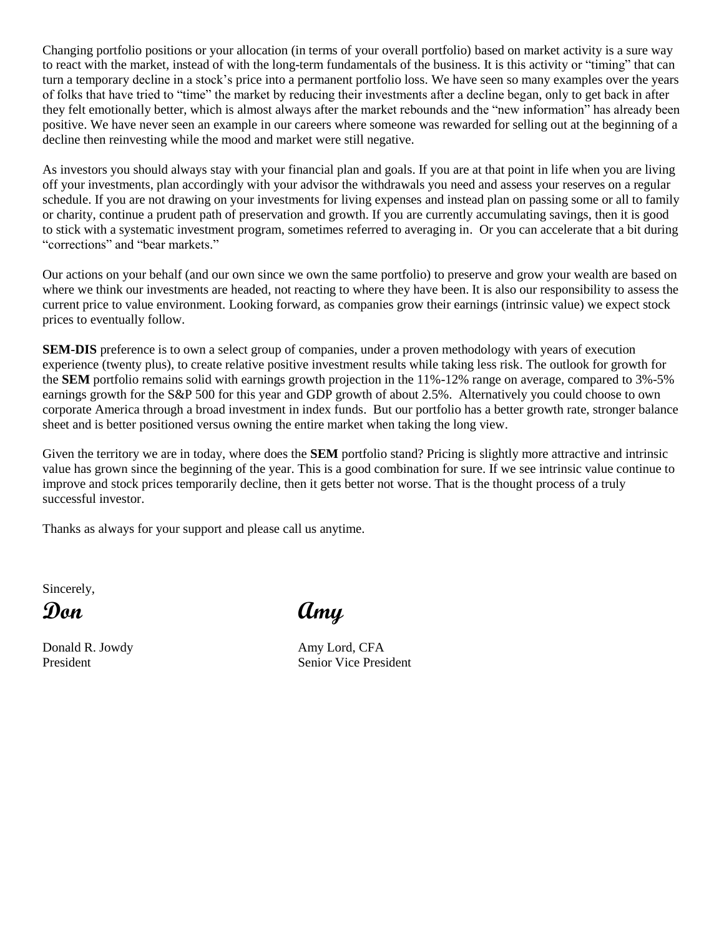Changing portfolio positions or your allocation (in terms of your overall portfolio) based on market activity is a sure way to react with the market, instead of with the long-term fundamentals of the business. It is this activity or "timing" that can turn a temporary decline in a stock's price into a permanent portfolio loss. We have seen so many examples over the years of folks that have tried to "time" the market by reducing their investments after a decline began, only to get back in after they felt emotionally better, which is almost always after the market rebounds and the "new information" has already been positive. We have never seen an example in our careers where someone was rewarded for selling out at the beginning of a decline then reinvesting while the mood and market were still negative.

As investors you should always stay with your financial plan and goals. If you are at that point in life when you are living off your investments, plan accordingly with your advisor the withdrawals you need and assess your reserves on a regular schedule. If you are not drawing on your investments for living expenses and instead plan on passing some or all to family or charity, continue a prudent path of preservation and growth. If you are currently accumulating savings, then it is good to stick with a systematic investment program, sometimes referred to averaging in. Or you can accelerate that a bit during "corrections" and "bear markets."

Our actions on your behalf (and our own since we own the same portfolio) to preserve and grow your wealth are based on where we think our investments are headed, not reacting to where they have been. It is also our responsibility to assess the current price to value environment. Looking forward, as companies grow their earnings (intrinsic value) we expect stock prices to eventually follow.

**SEM-DIS** preference is to own a select group of companies, under a proven methodology with years of execution experience (twenty plus), to create relative positive investment results while taking less risk. The outlook for growth for the **SEM** portfolio remains solid with earnings growth projection in the 11%-12% range on average, compared to 3%-5% earnings growth for the S&P 500 for this year and GDP growth of about 2.5%. Alternatively you could choose to own corporate America through a broad investment in index funds. But our portfolio has a better growth rate, stronger balance sheet and is better positioned versus owning the entire market when taking the long view.

Given the territory we are in today, where does the **SEM** portfolio stand? Pricing is slightly more attractive and intrinsic value has grown since the beginning of the year. This is a good combination for sure. If we see intrinsic value continue to improve and stock prices temporarily decline, then it gets better not worse. That is the thought process of a truly successful investor.

Thanks as always for your support and please call us anytime.

Sincerely,

Donald R. Jowdy **Amy Lord, CFA** 

**Don Amy**

President Senior Vice President